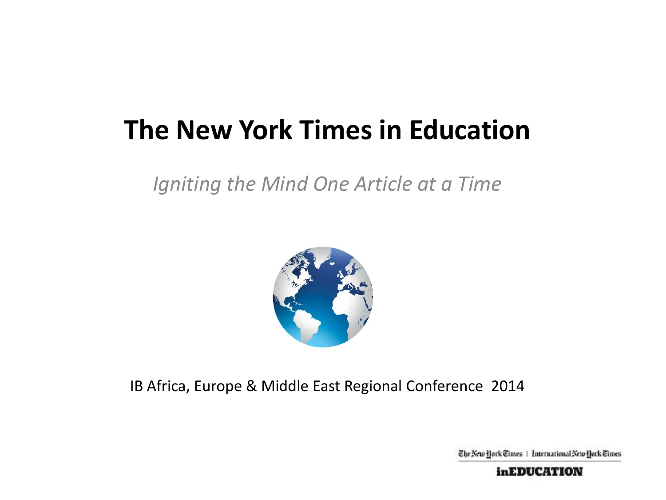### **The New York Times in Education**

*Igniting the Mind One Article at a Time*



IB Africa, Europe & Middle East Regional Conference 2014

The New Hork Times | International New Hork Times

*inEDUCATION*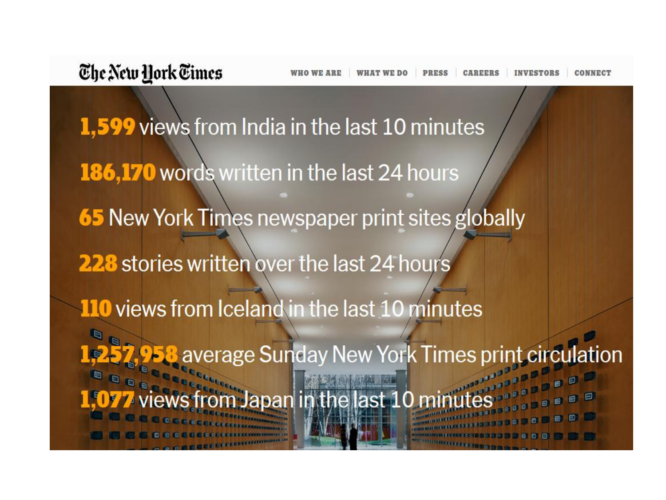1,599 views from India in the last 10 minutes 186,170 words written in the last 24 hours **65 New York Times newspaper print sites globally** 228 stories written over the last 24 hours 110 views from Iceland in the last 10 minutes 1,257,958 average Sunday New York Times print circulation Japan in the last 10 mil 日日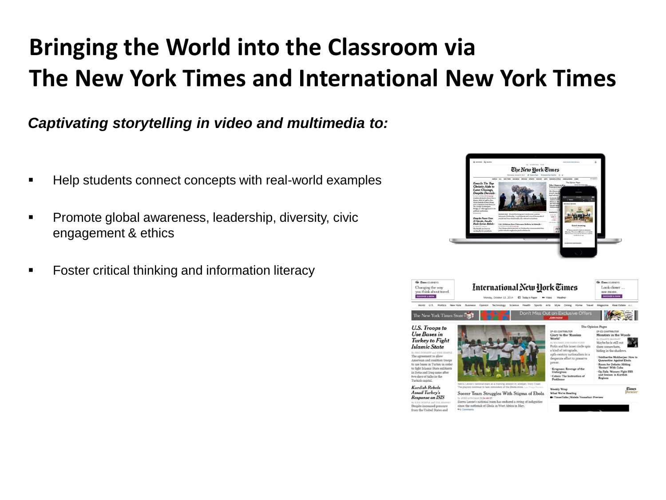### **Bringing the World into the Classroom via The New York Times and International New York Times**

*Captivating storytelling in video and multimedia to:* 

- Help students connect concepts with real-world examples
- **Promote global awareness, leadership, diversity, civic** engagement & ethics
- **Foster critical thinking and information literacy**



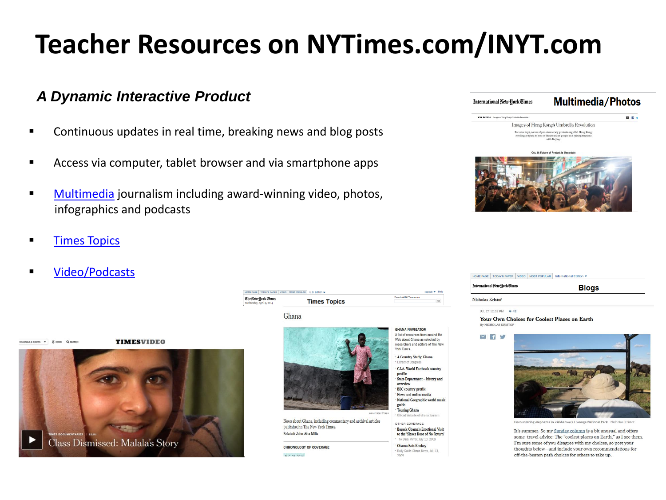# **Teacher Resources on NYTimes.com/INYT.com**

### *A Dynamic Interactive Product*

- **EXECONTIFY Continuous updates in real time, breaking news and blog posts**
- Access via computer, tablet browser and via smartphone apps
- **[Multimedia](http://www.nytimes.com/pages/multimedia/index.html?8qa&module=Search&mabReward=relbias:s) journalism including award-winning video, photos,** infographics and podcasts
- **[Times Topics](http://topics.nytimes.com/top/news/international/countriesandterritories/italy/index.html)**
- **U** [Video/Podcasts](http://www.nytimes.com/video/world/asia/100000001835296/class-dismissed-malala-yousafzais-story.html?module=Search&mabReward=relbias:s)



| The New York Times<br>Wednesday, April 9, 2014 | <b>Times Topics</b> | <b>PERMIT AND PROPERTY AND RESIDENCE</b><br>Ga                                                                                                                                                                                                                                                                                    |
|------------------------------------------------|---------------------|-----------------------------------------------------------------------------------------------------------------------------------------------------------------------------------------------------------------------------------------------------------------------------------------------------------------------------------|
|                                                | Ghana               |                                                                                                                                                                                                                                                                                                                                   |
|                                                |                     | <b>GHANA NAVIGATOR</b><br>A list of resources from around the<br>Web about Ghana as selected by<br>the contract of the contract of the contract of the contract of the contract of the contract of the contract of the contract of the contract of the contract of the contract of the contract of the contract of the contract o |



News about Ghana, including commentary and archival articles published in The New York Times. Related: John Atta Mills

CHRONOLOGY OF COVERAGE  $AIP 22 2014$ 

HOME PAGE | TODAY'S PAPER | VIDEO | MOST POPULAR | U.S. Edition



A Country Study: Ghana

 $cappak = |He|p$ 

Library of Congres C.I.A. World Factbook country profile State Department -- history and overview **BBC** country profile

News and online media National Geographic world musiabim **Touring Ghana** 

Official Website of Ghana Tourisn OTHER COVERAGE

Barack Obama's Emotional Visit to the 'Slaves Door of No Return' . The Daily Mirror, July 13, 2009

Obama Eats Kenkey \* Daily Guide Ghana News, Jul. 13,



#### HOME PAGE | TODAY'S PAPER | VIDEO | MOST POPULAR | International Edition

International New Hork Times **Blogs** Nicholas Kristof

#### BB 27.12:02 PM = 42

Your Own Choices for Coolest Places on Earth By NICHOLAS KRISTOP

#### **Milli**



ntering elephants in Zimbabwe's Hwange National Park

It's summer. So my Sunday column is a bit unusual and offers some travel advice: The "coolest places on Earth," as I see them. I'm sure some of you disagree with my choices, so post your thoughts below-and include your own recommendations for off-the-beaten path choices for others to take up.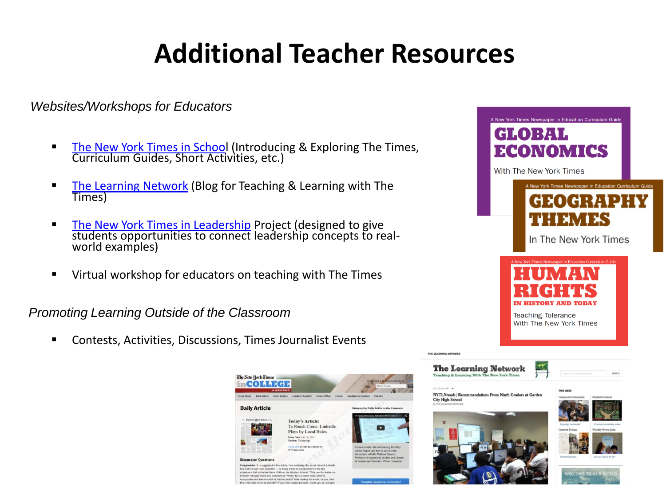# **Additional Teacher Resources**

*Websites/Workshops for Educators* 

- [The New York Times in School](http://nytimesinschool.com/ny-times-teacher-resources/ny-times-newspaper-in-education/) (Introducing & Exploring The Times, Curriculum Guides, Short Activities, etc.)
- **[The Learning Network](http://learning.blogs.nytimes.com/?module=BlogMain&action=Click®ion=Header&pgtype=Blogs&version=Blog Post&contentCollection=U.S.) (Blog for Teaching & Learning with The** Times)
- [The New York Times in Leadership](http://nytimesinleadership.com/) Project (designed to give students opportunities to connect leadership concepts to realworld examples)
- Virtual workshop for educators on teaching with The Times

*Promoting Learning Outside of the Classroom*

Contests, Activities, Discussions, Times Journalist Events



THE LEARNING NETWOR

OCT 10 8:00 AM . .

**City High School**